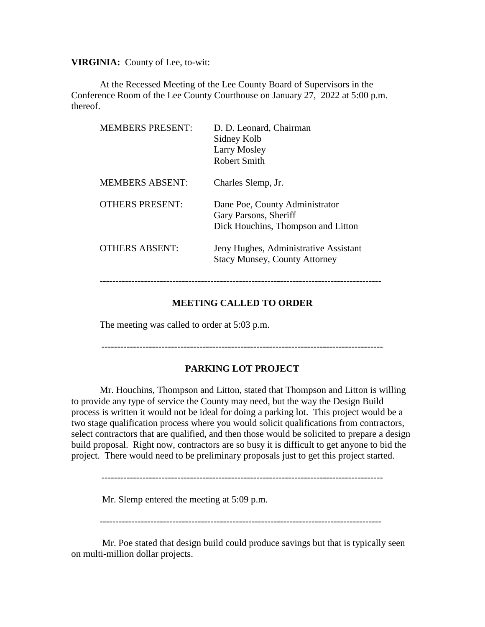**VIRGINIA:** County of Lee, to-wit:

At the Recessed Meeting of the Lee County Board of Supervisors in the Conference Room of the Lee County Courthouse on January 27, 2022 at 5:00 p.m. thereof.

| <b>MEMBERS PRESENT:</b> | D. D. Leonard, Chairman<br>Sidney Kolb<br>Larry Mosley<br>Robert Smith                        |
|-------------------------|-----------------------------------------------------------------------------------------------|
| <b>MEMBERS ABSENT:</b>  | Charles Slemp, Jr.                                                                            |
| <b>OTHERS PRESENT:</b>  | Dane Poe, County Administrator<br>Gary Parsons, Sheriff<br>Dick Houchins, Thompson and Litton |
| <b>OTHERS ABSENT:</b>   | Jeny Hughes, Administrative Assistant<br><b>Stacy Munsey, County Attorney</b>                 |

## **MEETING CALLED TO ORDER**

The meeting was called to order at 5:03 p.m.

-----------------------------------------------------------------------------------------

### **PARKING LOT PROJECT**

Mr. Houchins, Thompson and Litton, stated that Thompson and Litton is willing to provide any type of service the County may need, but the way the Design Build process is written it would not be ideal for doing a parking lot. This project would be a two stage qualification process where you would solicit qualifications from contractors, select contractors that are qualified, and then those would be solicited to prepare a design build proposal. Right now, contractors are so busy it is difficult to get anyone to bid the project. There would need to be preliminary proposals just to get this project started.

Mr. Slemp entered the meeting at 5:09 p.m.

-----------------------------------------------------------------------------------------

Mr. Poe stated that design build could produce savings but that is typically seen on multi-million dollar projects.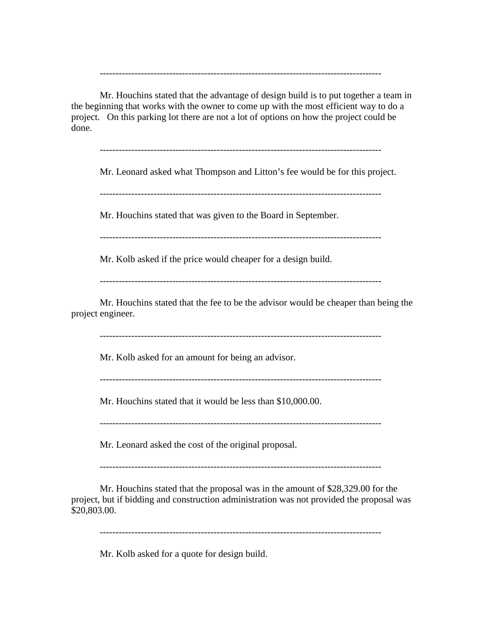Mr. Houchins stated that the advantage of design build is to put together a team in the beginning that works with the owner to come up with the most efficient way to do a project. On this parking lot there are not a lot of options on how the project could be done.

-----------------------------------------------------------------------------------------

-----------------------------------------------------------------------------------------

Mr. Leonard asked what Thompson and Litton's fee would be for this project.

-----------------------------------------------------------------------------------------

Mr. Houchins stated that was given to the Board in September.

-----------------------------------------------------------------------------------------

Mr. Kolb asked if the price would cheaper for a design build.

-----------------------------------------------------------------------------------------

Mr. Houchins stated that the fee to be the advisor would be cheaper than being the project engineer.

-----------------------------------------------------------------------------------------

Mr. Kolb asked for an amount for being an advisor.

-----------------------------------------------------------------------------------------

Mr. Houchins stated that it would be less than \$10,000.00.

-----------------------------------------------------------------------------------------

Mr. Leonard asked the cost of the original proposal.

-----------------------------------------------------------------------------------------

Mr. Houchins stated that the proposal was in the amount of \$28,329.00 for the project, but if bidding and construction administration was not provided the proposal was \$20,803.00.

-----------------------------------------------------------------------------------------

Mr. Kolb asked for a quote for design build.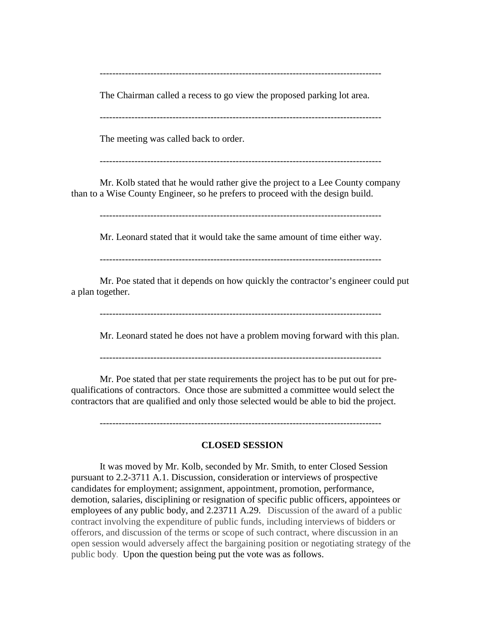-----------------------------------------------------------------------------------------

The Chairman called a recess to go view the proposed parking lot area.

The meeting was called back to order.

-----------------------------------------------------------------------------------------

Mr. Kolb stated that he would rather give the project to a Lee County company than to a Wise County Engineer, so he prefers to proceed with the design build.

-----------------------------------------------------------------------------------------

Mr. Leonard stated that it would take the same amount of time either way.

Mr. Poe stated that it depends on how quickly the contractor's engineer could put a plan together.

-----------------------------------------------------------------------------------------

Mr. Leonard stated he does not have a problem moving forward with this plan.

-----------------------------------------------------------------------------------------

Mr. Poe stated that per state requirements the project has to be put out for prequalifications of contractors. Once those are submitted a committee would select the contractors that are qualified and only those selected would be able to bid the project.

-----------------------------------------------------------------------------------------

## **CLOSED SESSION**

It was moved by Mr. Kolb, seconded by Mr. Smith, to enter Closed Session pursuant to 2.2-3711 A.1. Discussion, consideration or interviews of prospective candidates for employment; assignment, appointment, promotion, performance, demotion, salaries, disciplining or resignation of specific public officers, appointees or employees of any public body, and 2.23711 A.29. Discussion of the award of a public contract involving the expenditure of public funds, including interviews of bidders or offerors, and discussion of the terms or scope of such contract, where discussion in an open session would adversely affect the bargaining position or negotiating strategy of the public body. Upon the question being put the vote was as follows.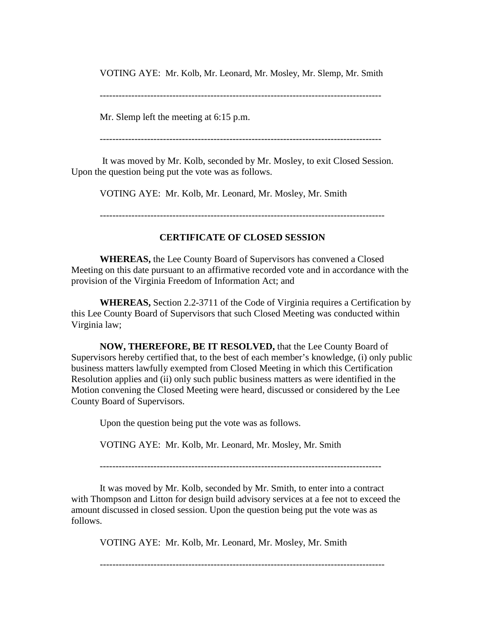VOTING AYE: Mr. Kolb, Mr. Leonard, Mr. Mosley, Mr. Slemp, Mr. Smith

Mr. Slemp left the meeting at 6:15 p.m.

-----------------------------------------------------------------------------------------

It was moved by Mr. Kolb, seconded by Mr. Mosley, to exit Closed Session. Upon the question being put the vote was as follows.

VOTING AYE: Mr. Kolb, Mr. Leonard, Mr. Mosley, Mr. Smith

------------------------------------------------------------------------------------------

# **CERTIFICATE OF CLOSED SESSION**

**WHEREAS,** the Lee County Board of Supervisors has convened a Closed Meeting on this date pursuant to an affirmative recorded vote and in accordance with the provision of the Virginia Freedom of Information Act; and

**WHEREAS,** Section 2.2-3711 of the Code of Virginia requires a Certification by this Lee County Board of Supervisors that such Closed Meeting was conducted within Virginia law;

**NOW, THEREFORE, BE IT RESOLVED,** that the Lee County Board of Supervisors hereby certified that, to the best of each member's knowledge, (i) only public business matters lawfully exempted from Closed Meeting in which this Certification Resolution applies and (ii) only such public business matters as were identified in the Motion convening the Closed Meeting were heard, discussed or considered by the Lee County Board of Supervisors.

Upon the question being put the vote was as follows.

VOTING AYE: Mr. Kolb, Mr. Leonard, Mr. Mosley, Mr. Smith

-----------------------------------------------------------------------------------------

It was moved by Mr. Kolb, seconded by Mr. Smith, to enter into a contract with Thompson and Litton for design build advisory services at a fee not to exceed the amount discussed in closed session. Upon the question being put the vote was as follows.

VOTING AYE: Mr. Kolb, Mr. Leonard, Mr. Mosley, Mr. Smith

------------------------------------------------------------------------------------------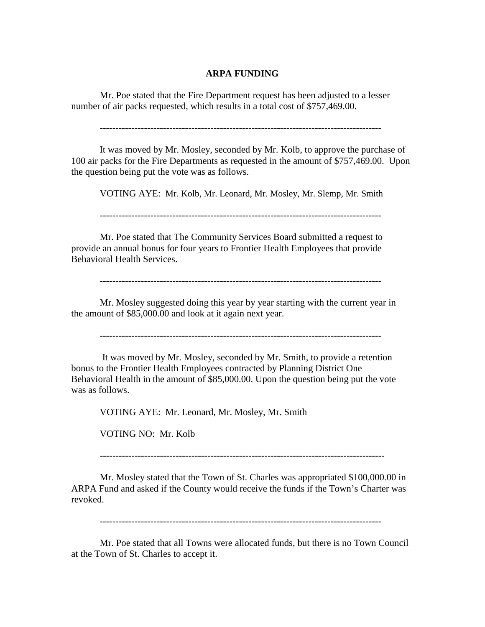#### **ARPA FUNDING**

Mr. Poe stated that the Fire Department request has been adjusted to a lesser number of air packs requested, which results in a total cost of \$757,469.00.

-----------------------------------------------------------------------------------------

It was moved by Mr. Mosley, seconded by Mr. Kolb, to approve the purchase of 100 air packs for the Fire Departments as requested in the amount of \$757,469.00. Upon the question being put the vote was as follows.

VOTING AYE: Mr. Kolb, Mr. Leonard, Mr. Mosley, Mr. Slemp, Mr. Smith

-----------------------------------------------------------------------------------------

Mr. Poe stated that The Community Services Board submitted a request to provide an annual bonus for four years to Frontier Health Employees that provide Behavioral Health Services.

-----------------------------------------------------------------------------------------

Mr. Mosley suggested doing this year by year starting with the current year in the amount of \$85,000.00 and look at it again next year.

It was moved by Mr. Mosley, seconded by Mr. Smith, to provide a retention bonus to the Frontier Health Employees contracted by Planning District One Behavioral Health in the amount of \$85,000.00. Upon the question being put the vote was as follows.

VOTING AYE: Mr. Leonard, Mr. Mosley, Mr. Smith

VOTING NO: Mr. Kolb

------------------------------------------------------------------------------------------

Mr. Mosley stated that the Town of St. Charles was appropriated \$100,000.00 in ARPA Fund and asked if the County would receive the funds if the Town's Charter was revoked.

-----------------------------------------------------------------------------------------

Mr. Poe stated that all Towns were allocated funds, but there is no Town Council at the Town of St. Charles to accept it.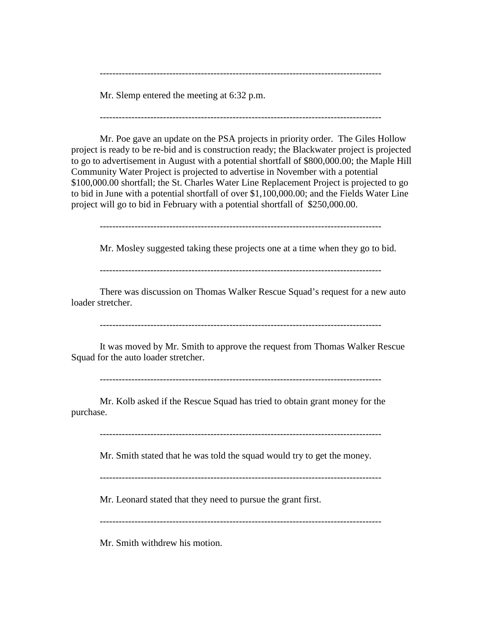Mr. Slemp entered the meeting at 6:32 p.m.

-----------------------------------------------------------------------------------------

-----------------------------------------------------------------------------------------

Mr. Poe gave an update on the PSA projects in priority order. The Giles Hollow project is ready to be re-bid and is construction ready; the Blackwater project is projected to go to advertisement in August with a potential shortfall of \$800,000.00; the Maple Hill Community Water Project is projected to advertise in November with a potential \$100,000.00 shortfall; the St. Charles Water Line Replacement Project is projected to go to bid in June with a potential shortfall of over \$1,100,000.00; and the Fields Water Line project will go to bid in February with a potential shortfall of \$250,000.00.

-----------------------------------------------------------------------------------------

Mr. Mosley suggested taking these projects one at a time when they go to bid.

-----------------------------------------------------------------------------------------

There was discussion on Thomas Walker Rescue Squad's request for a new auto loader stretcher.

-----------------------------------------------------------------------------------------

It was moved by Mr. Smith to approve the request from Thomas Walker Rescue Squad for the auto loader stretcher.

-----------------------------------------------------------------------------------------

Mr. Kolb asked if the Rescue Squad has tried to obtain grant money for the purchase.

-----------------------------------------------------------------------------------------

Mr. Smith stated that he was told the squad would try to get the money.

-----------------------------------------------------------------------------------------

Mr. Leonard stated that they need to pursue the grant first.

-----------------------------------------------------------------------------------------

Mr. Smith withdrew his motion.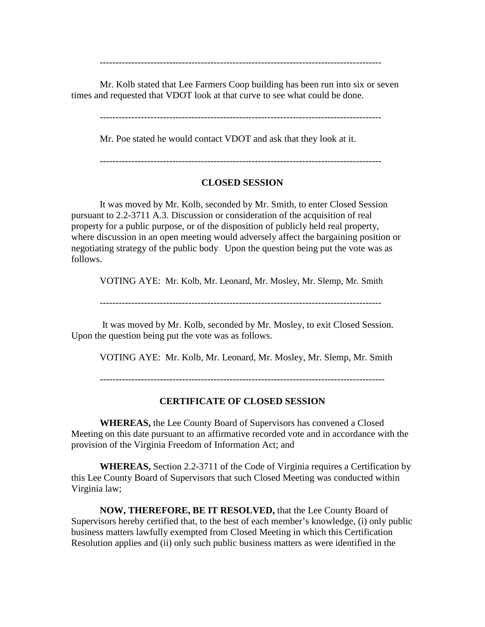-----------------------------------------------------------------------------------------

Mr. Kolb stated that Lee Farmers Coop building has been run into six or seven times and requested that VDOT look at that curve to see what could be done.

Mr. Poe stated he would contact VDOT and ask that they look at it.

# **CLOSED SESSION**

It was moved by Mr. Kolb, seconded by Mr. Smith, to enter Closed Session pursuant to 2.2-3711 A.3. Discussion or consideration of the acquisition of real property for a public purpose, or of the disposition of publicly held real property, where discussion in an open meeting would adversely affect the bargaining position or negotiating strategy of the public body. Upon the question being put the vote was as follows.

VOTING AYE: Mr. Kolb, Mr. Leonard, Mr. Mosley, Mr. Slemp, Mr. Smith

-----------------------------------------------------------------------------------------

It was moved by Mr. Kolb, seconded by Mr. Mosley, to exit Closed Session. Upon the question being put the vote was as follows.

VOTING AYE: Mr. Kolb, Mr. Leonard, Mr. Mosley, Mr. Slemp, Mr. Smith

------------------------------------------------------------------------------------------

#### **CERTIFICATE OF CLOSED SESSION**

**WHEREAS,** the Lee County Board of Supervisors has convened a Closed Meeting on this date pursuant to an affirmative recorded vote and in accordance with the provision of the Virginia Freedom of Information Act; and

**WHEREAS,** Section 2.2-3711 of the Code of Virginia requires a Certification by this Lee County Board of Supervisors that such Closed Meeting was conducted within Virginia law;

**NOW, THEREFORE, BE IT RESOLVED,** that the Lee County Board of Supervisors hereby certified that, to the best of each member's knowledge, (i) only public business matters lawfully exempted from Closed Meeting in which this Certification Resolution applies and (ii) only such public business matters as were identified in the